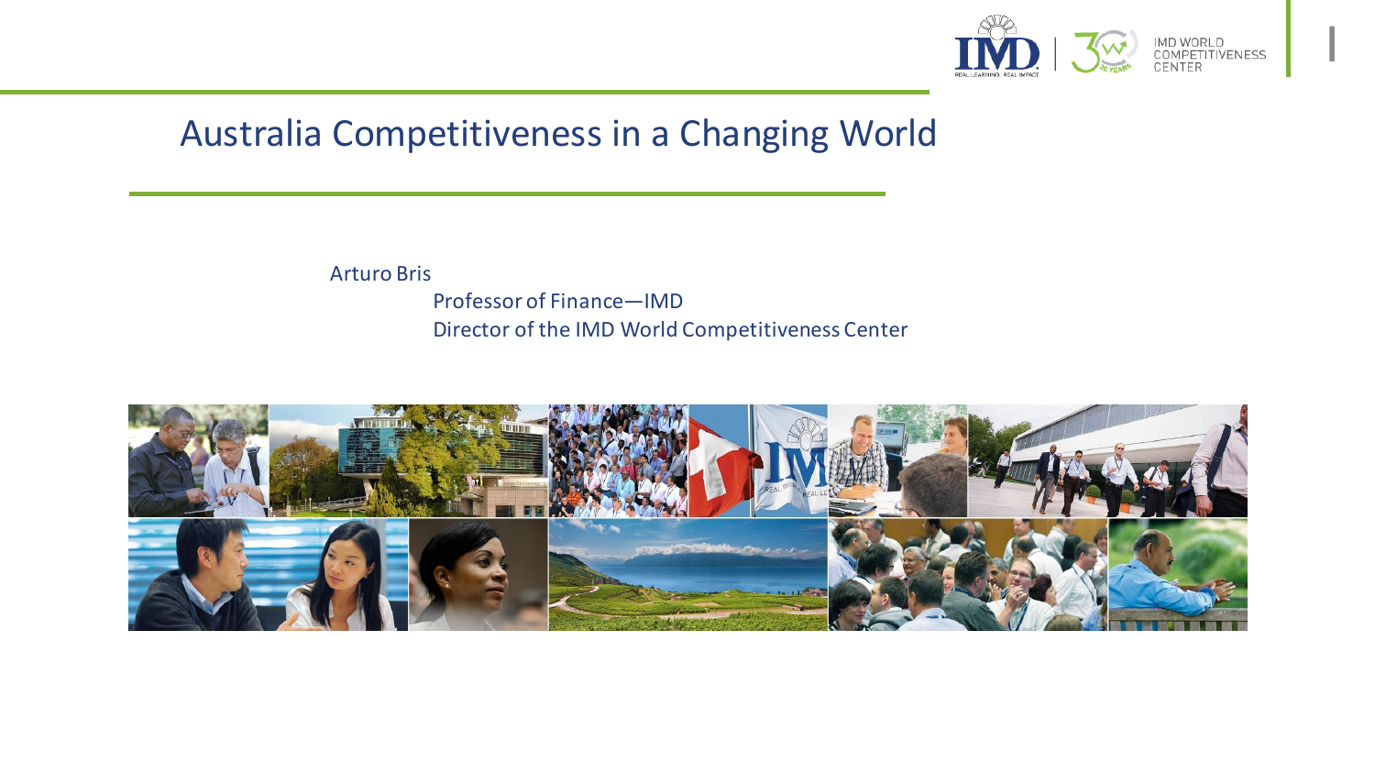

1

## Australia Competitiveness in a Changing World

Arturo Bris

Professor of Finance—IMD Director of the IMD World Competitiveness Center

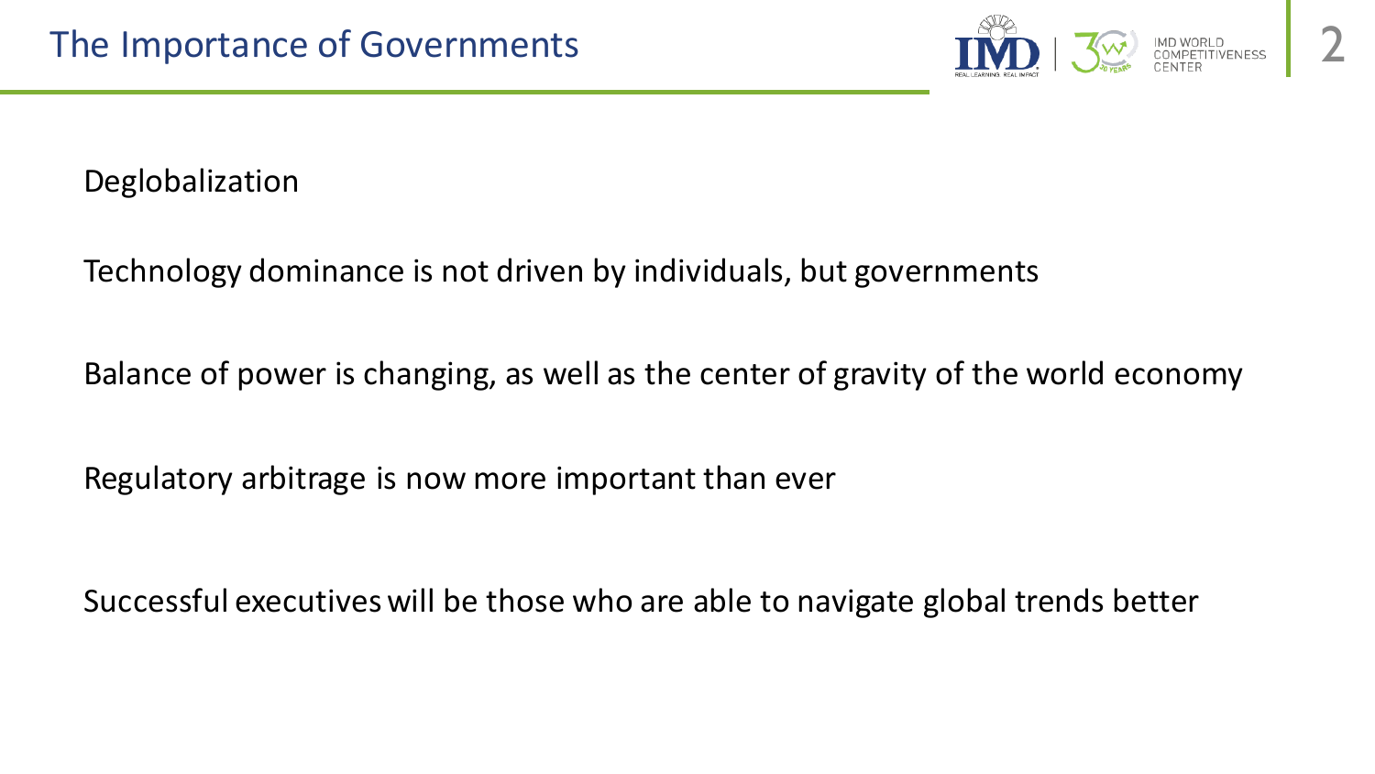

Deglobalization

Technology dominance is not driven by individuals, but governments

Balance of power is changing, as well as the center of gravity of the world economy

Regulatory arbitrage is now more important than ever

Successful executives will be those who are able to navigate global trends better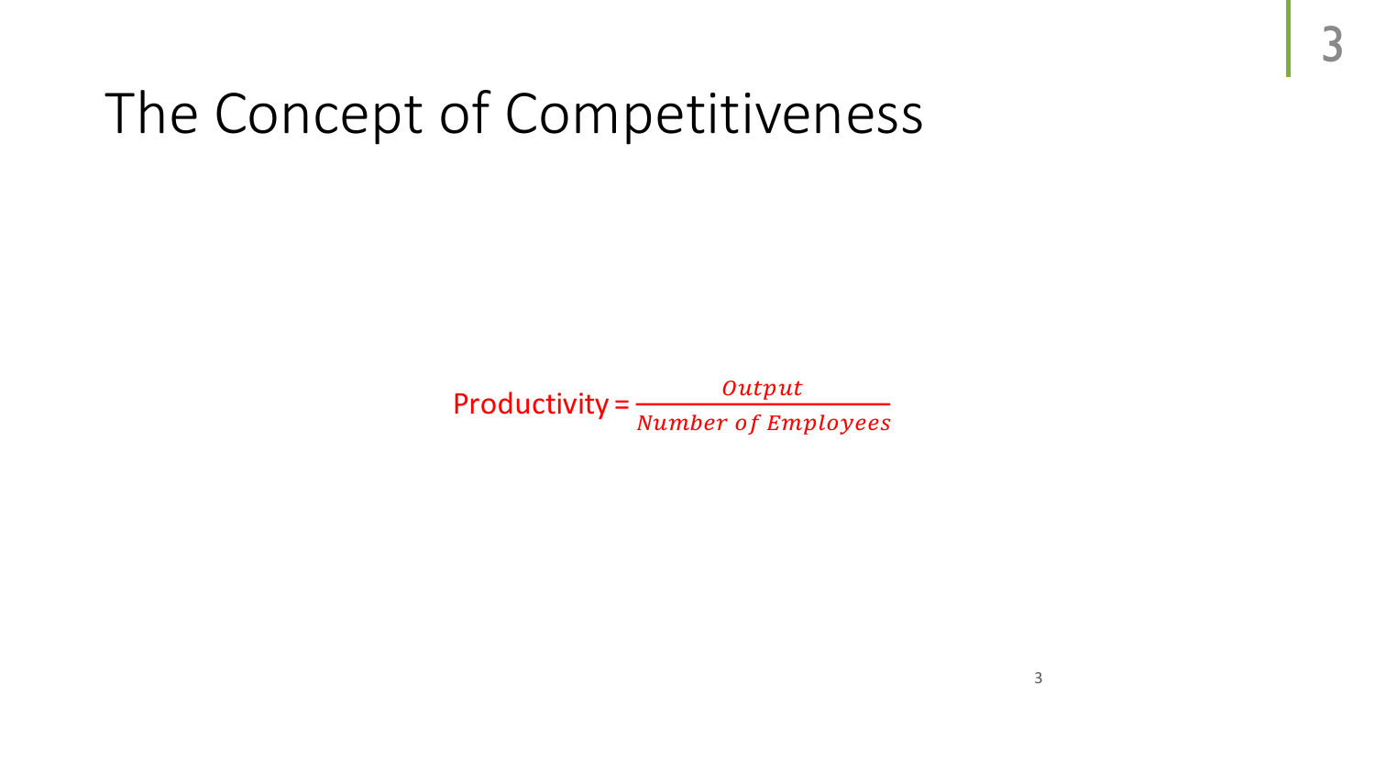# The Concept of Competitiveness

Productivity =  $\frac{Output}{\frac{Number of E}{}}$ Number of Employees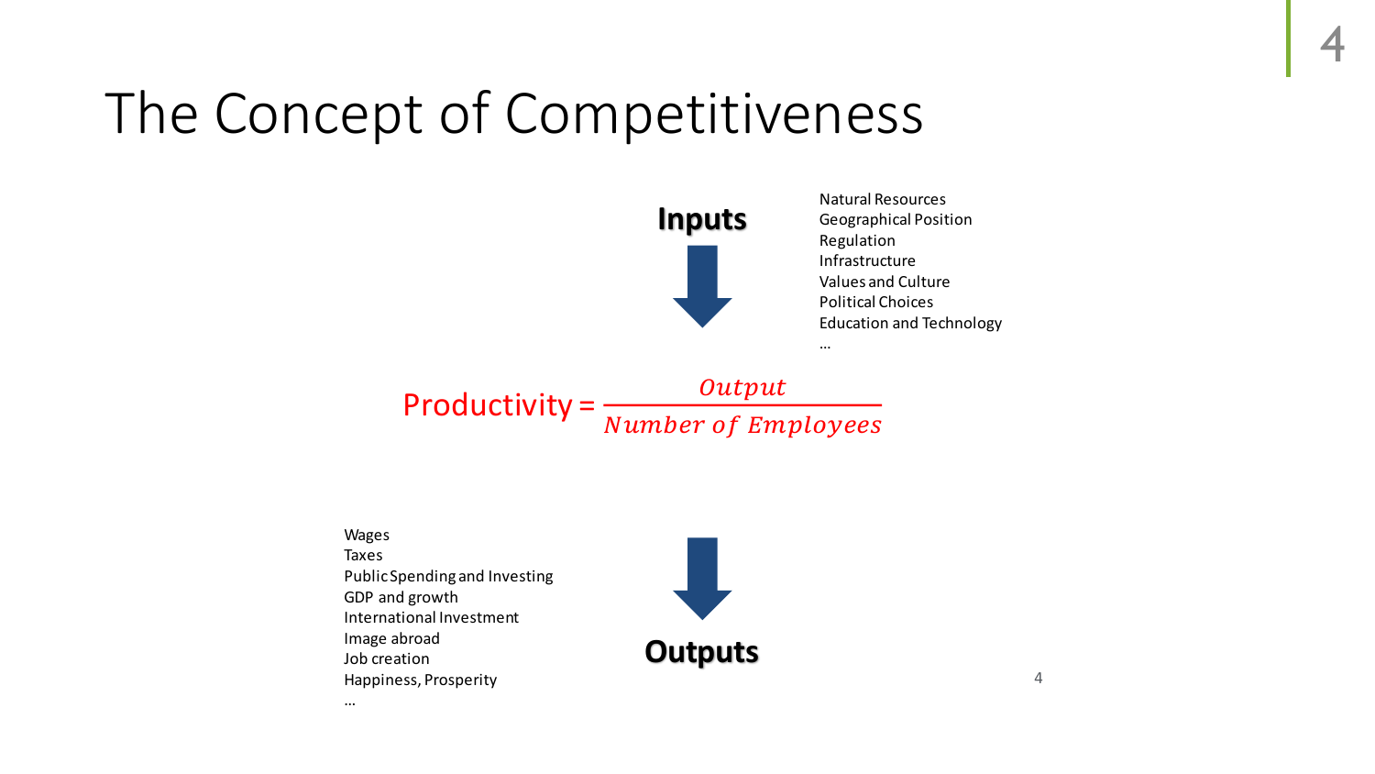# The Concept of Competitiveness



Natural Resources Geographical Position Regulation Infrastructure Values and Culture Political Choices Education and Technology

…

Productivity =  $\frac{Output}{\frac{1}{1 + \frac{1}{1 + \frac{1}{1 + \frac{1}{1 + \frac{1}{1 + \frac{1}{1 + \frac{1}{1 + \frac{1}{1 + \frac{1}{1 + \frac{1}{1 + \frac{1}{1 + \frac{1}{1 + \frac{1}{1 + \frac{1}{1 + \frac{1}{1 + \frac{1}{1 + \frac{1}{1 + \frac{1}{1 + \frac{1}{1 + \frac{1}{1 + \frac{1}{1 + \frac{1}{1 + \frac{1}{1 + \frac{1}{1 + \frac{1}{1 + \frac{1}{1 + \frac{1}{1 + \frac{1}{1 + \frac{1$ Number of Employees

Wages Taxes Public Spending and Investing GDP and growth International Investment Image abroad Job creation Happiness, Prosperity

…



4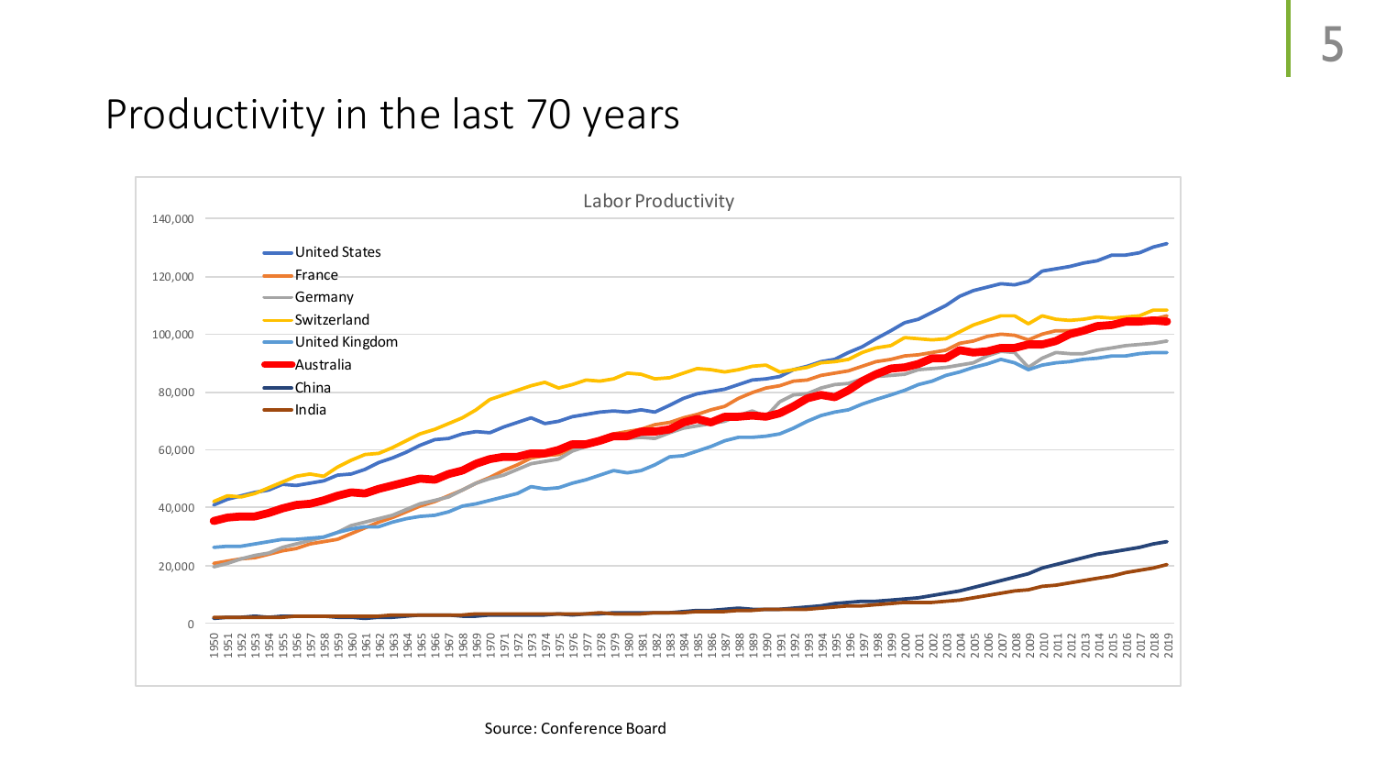## Productivity in the last 70 years

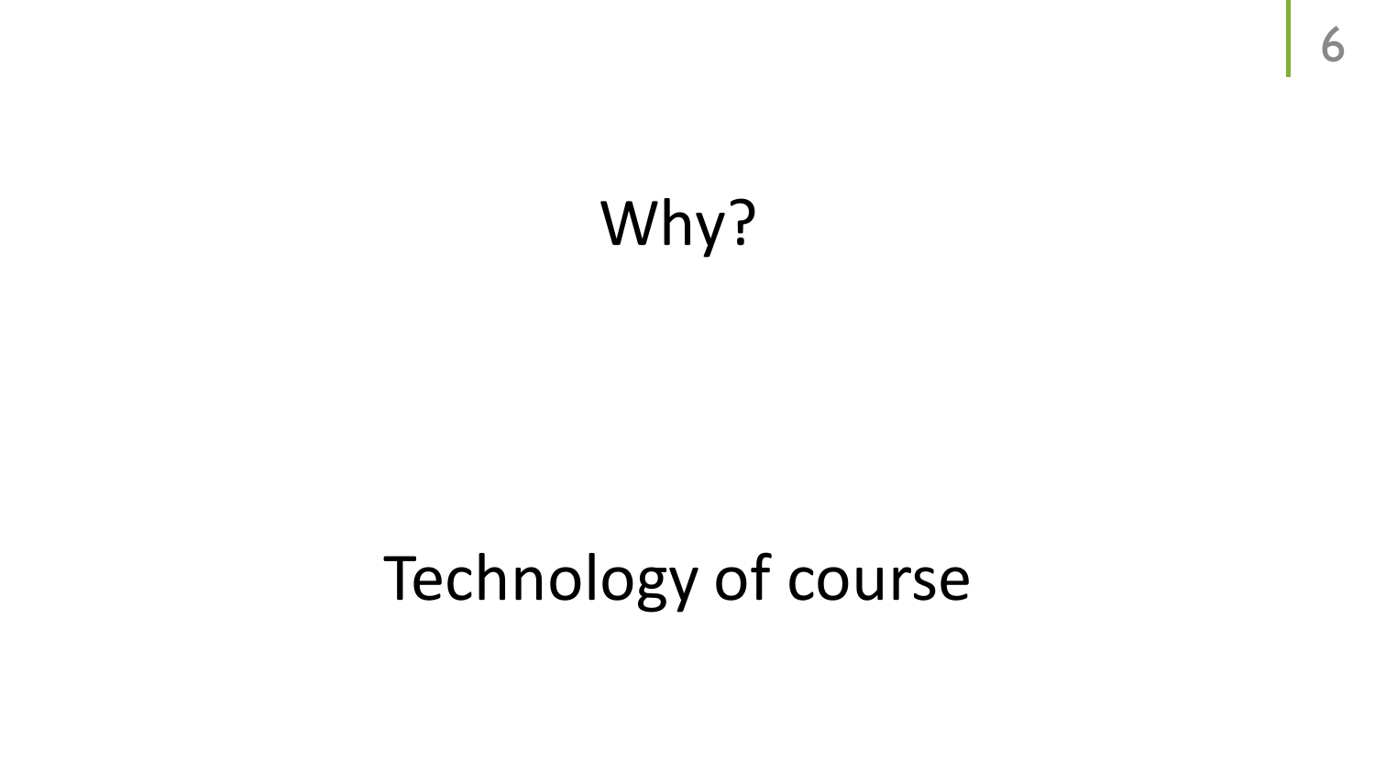# Why?

# Technology of course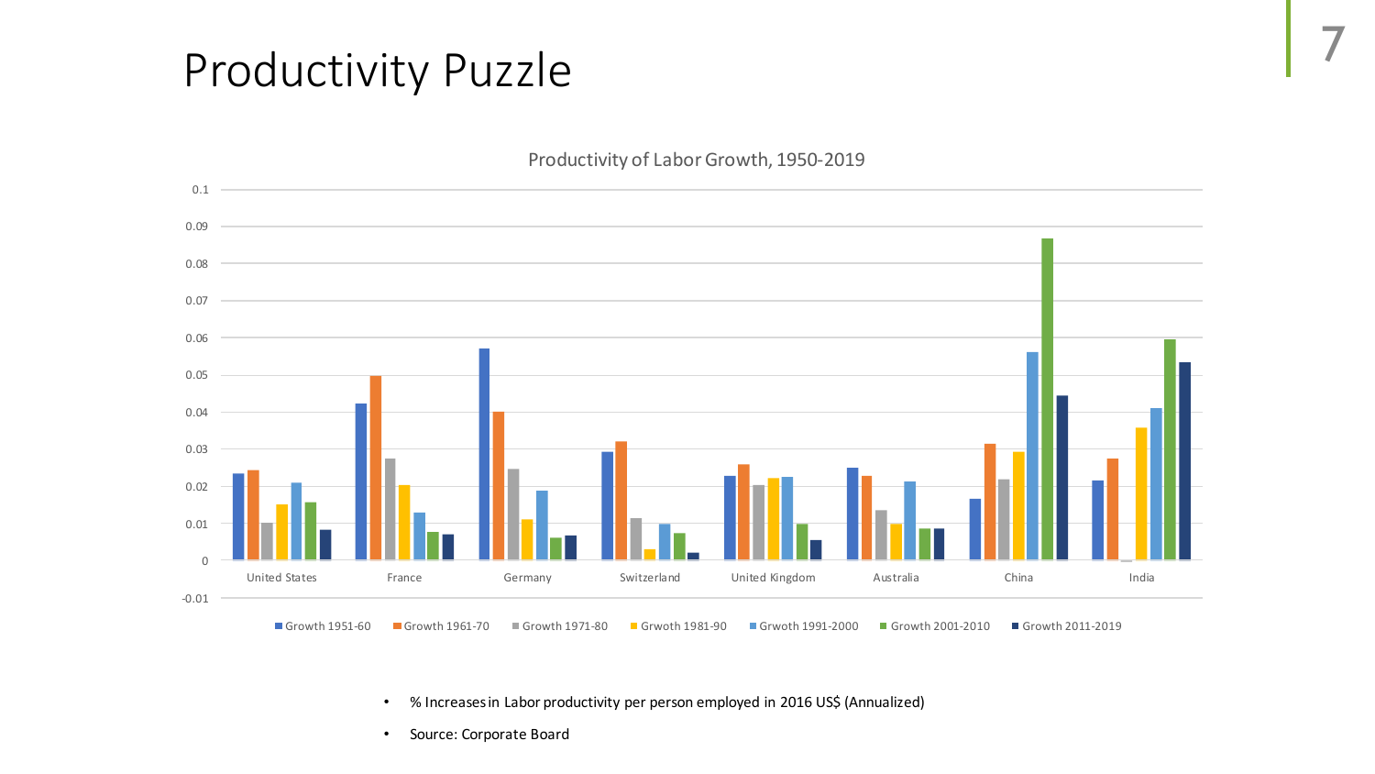# Productivity Puzzle



- % Increases in Labor productivity per person employed in 2016 US\$ (Annualized)
- Source: Corporate Board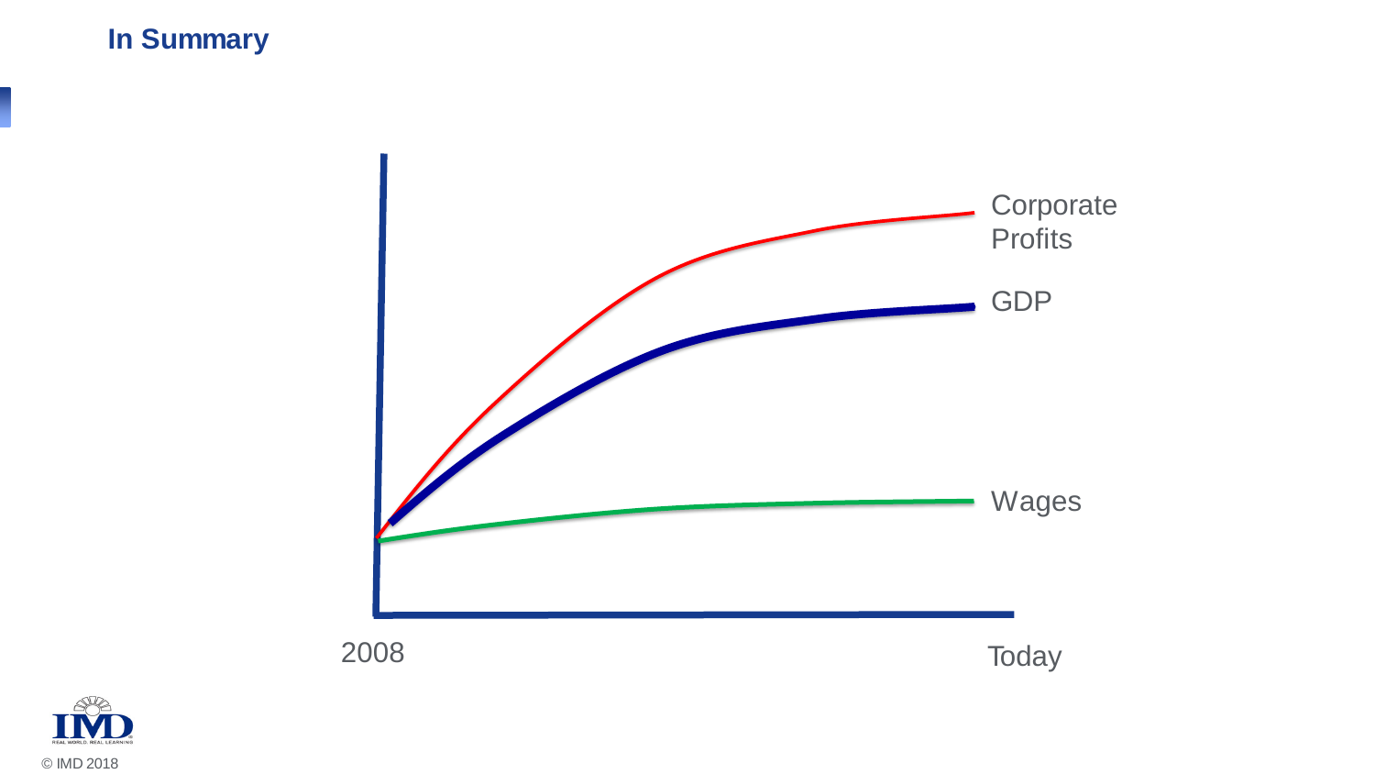#### **In Summary**



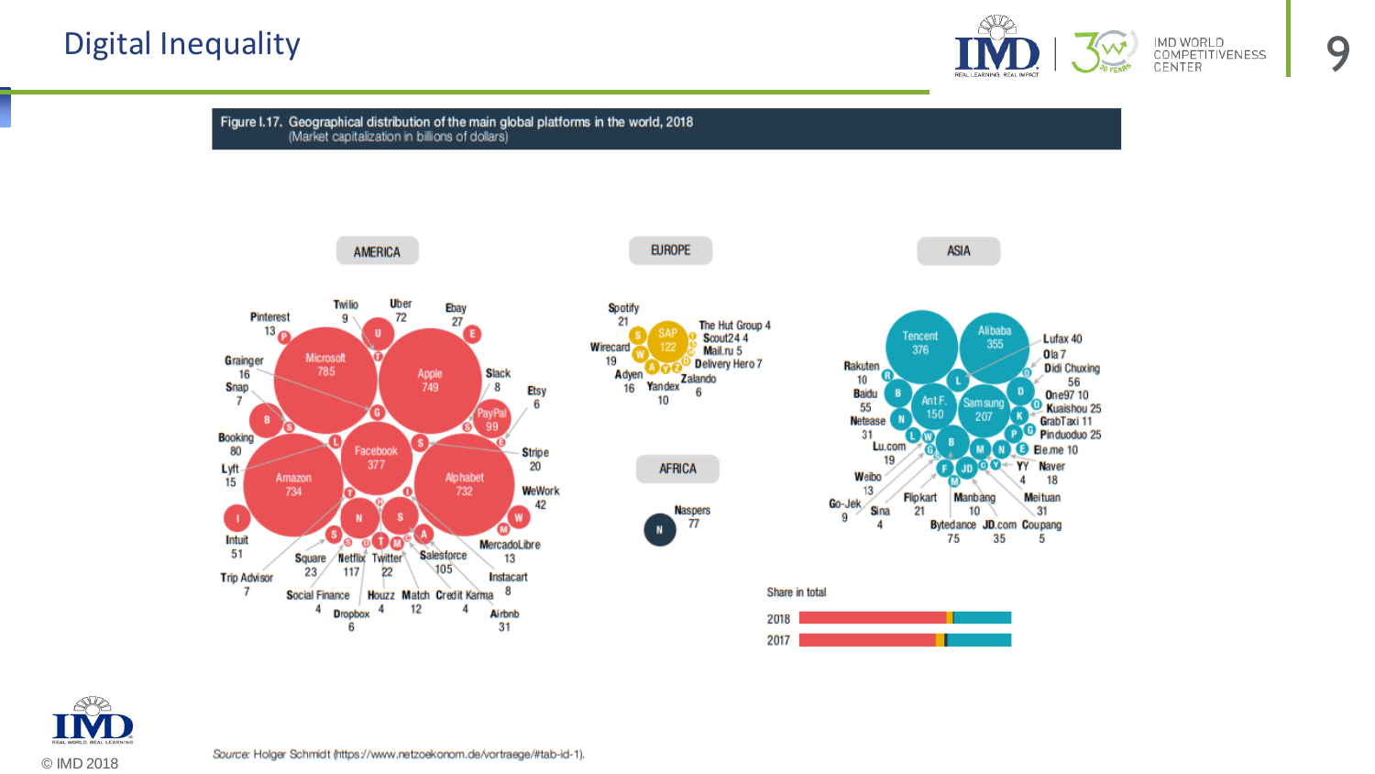

Figure I.17. Geographical distribution of the main global platforms in the world, 2018 (Market capitalization in billions of dollars)



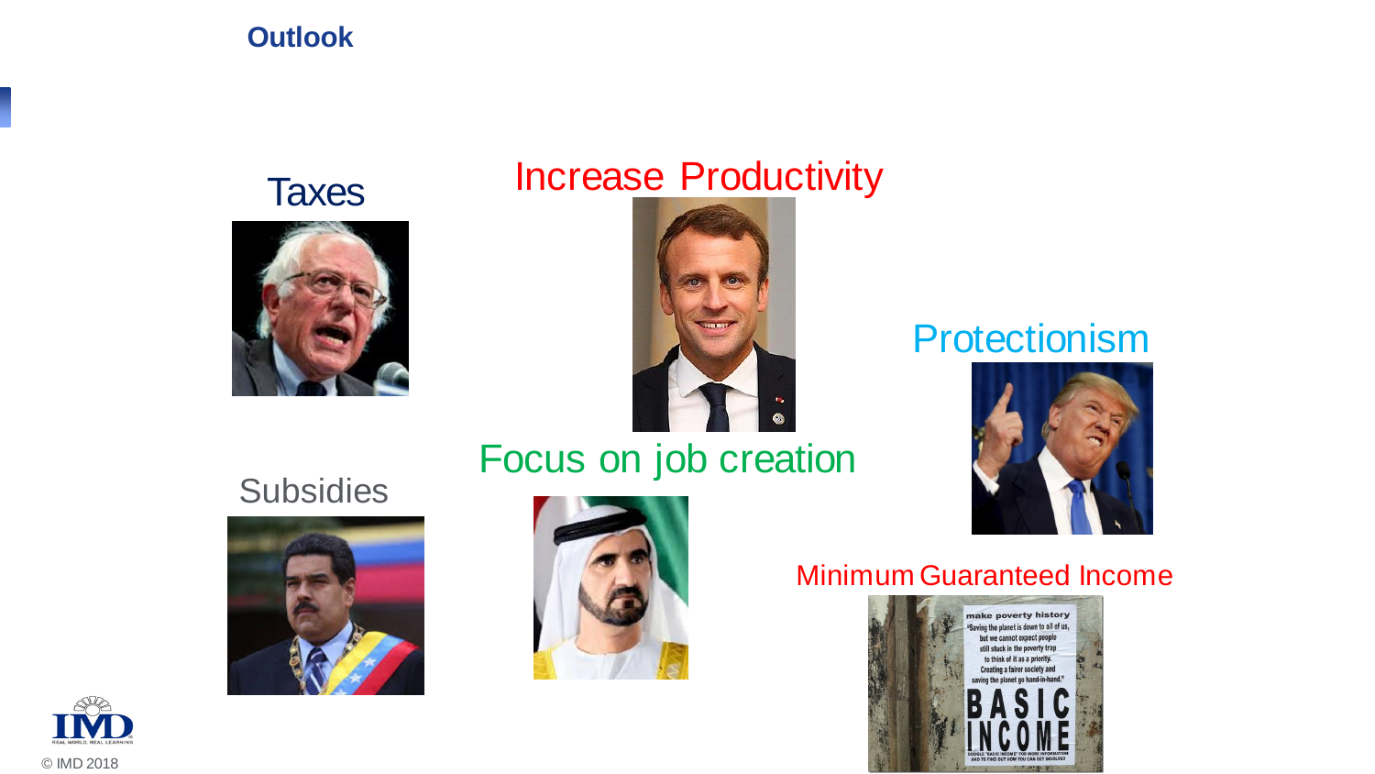#### **Outlook**



# Taxes Increase Productivity



## Focus on job creation

## **Subsidies**





## **Protectionism**



#### Minimum Guaranteed Income



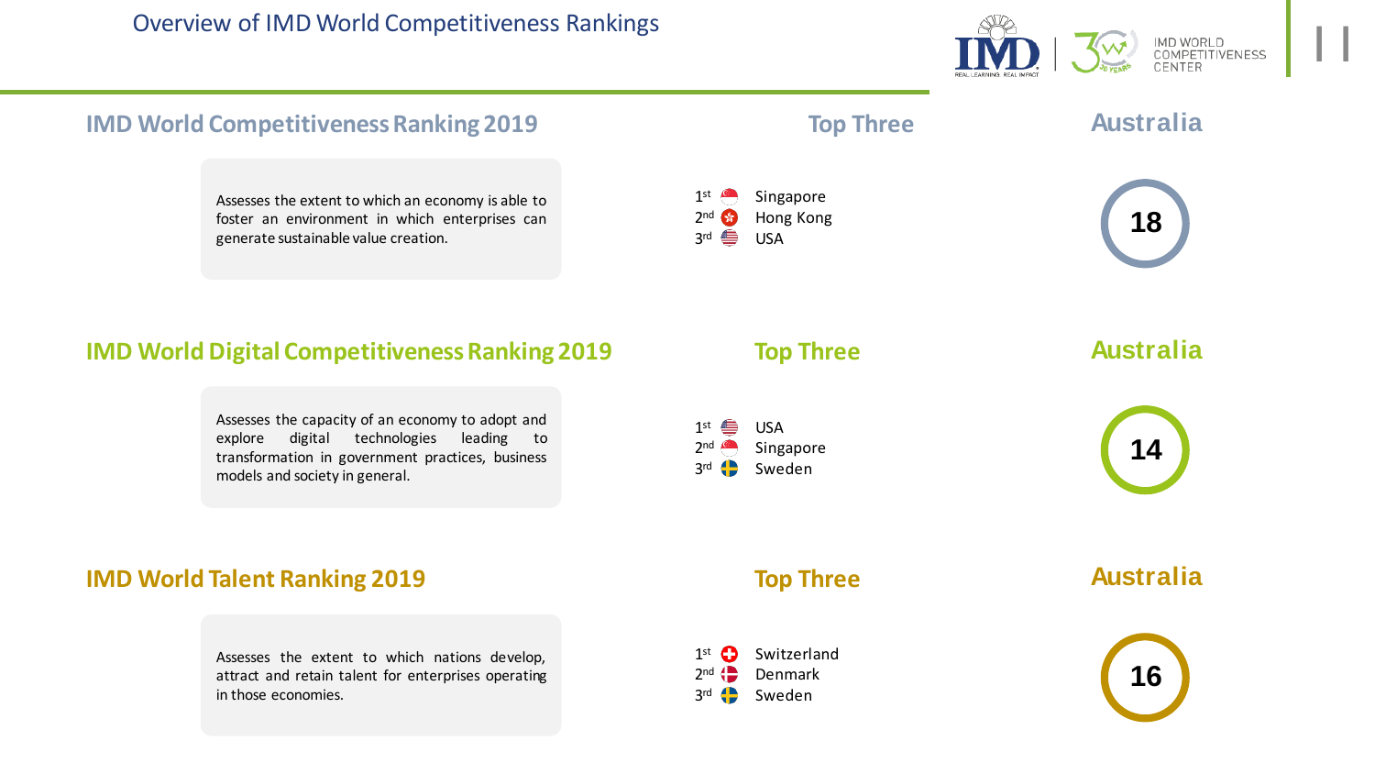

#### **IMD World Competitiveness Ranking 2019 Top Three IMD World Digital Competitiveness Ranking 2019 Top Three IMD World Talent Ranking 2019 Top Three Australia 18 Australia 14 Australia 16** 1<sup>st</sup> <del>⊜</del> USA  $2nd \n\blacksquare$ Singapore  $3rd$   $\bigoplus$ Sweden  $1$ <sup>st  $\blacksquare$ </sup> Singapore  $2<sup>nd</sup>$   $\sqrt{s}$ Hong Kong 3<sup>rd</sup> <del>⊜</del> USA  $1<sup>st</sup>$   $\bigodot$ Switzerland  $2^{nd}$   $\leftarrow$ Denmark  $3rd$ Sweden Assesses the extent to which an economy is able to foster an environment in which enterprises can generate sustainable value creation. Assesses the capacity of an economy to adopt and explore digital technologies leading to transformation in government practices, business models and society in general. Assesses the extent to which nations develop, attract and retain talent for enterprises operating in those economies.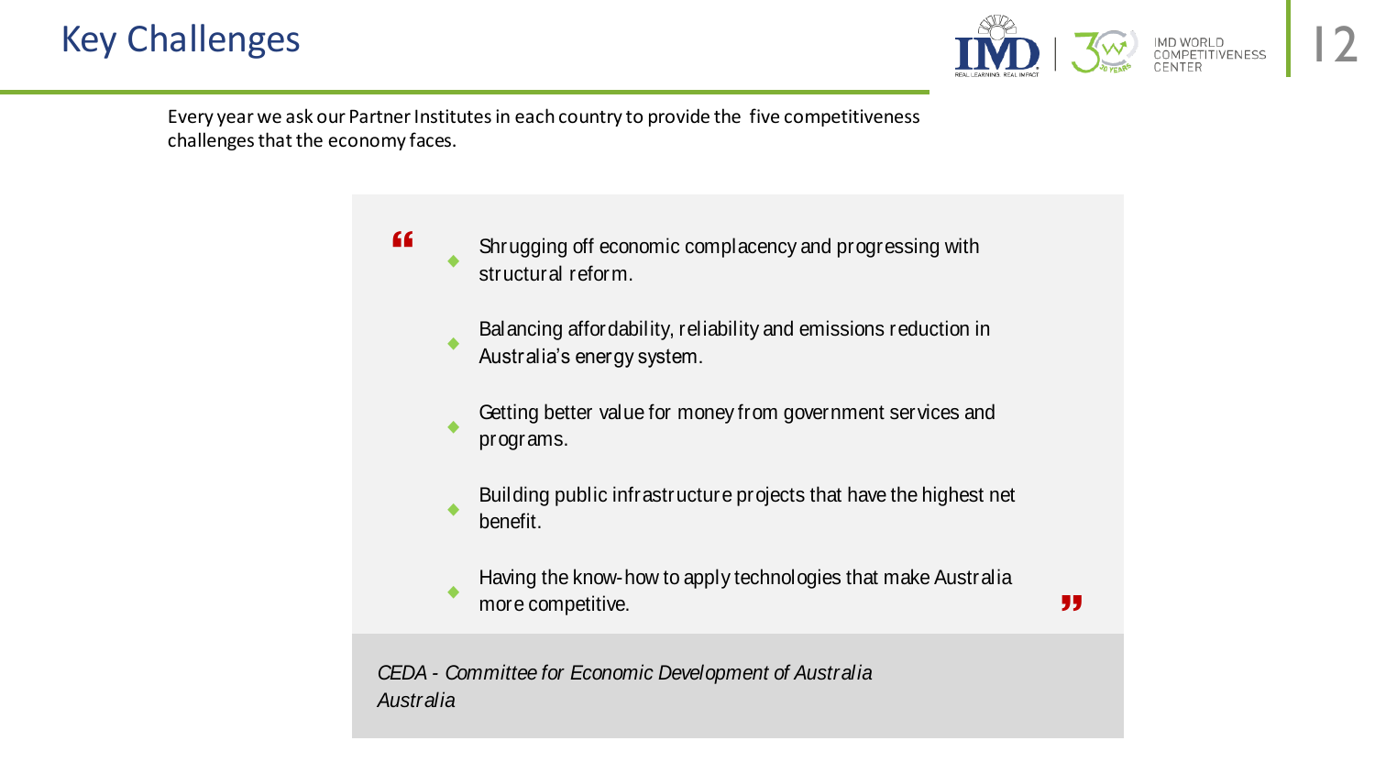

Every year we ask our Partner Institutes in each country to provide the five competitiveness challenges that the economy faces.



*CEDA - Committee for Economic Development of Australia Australia*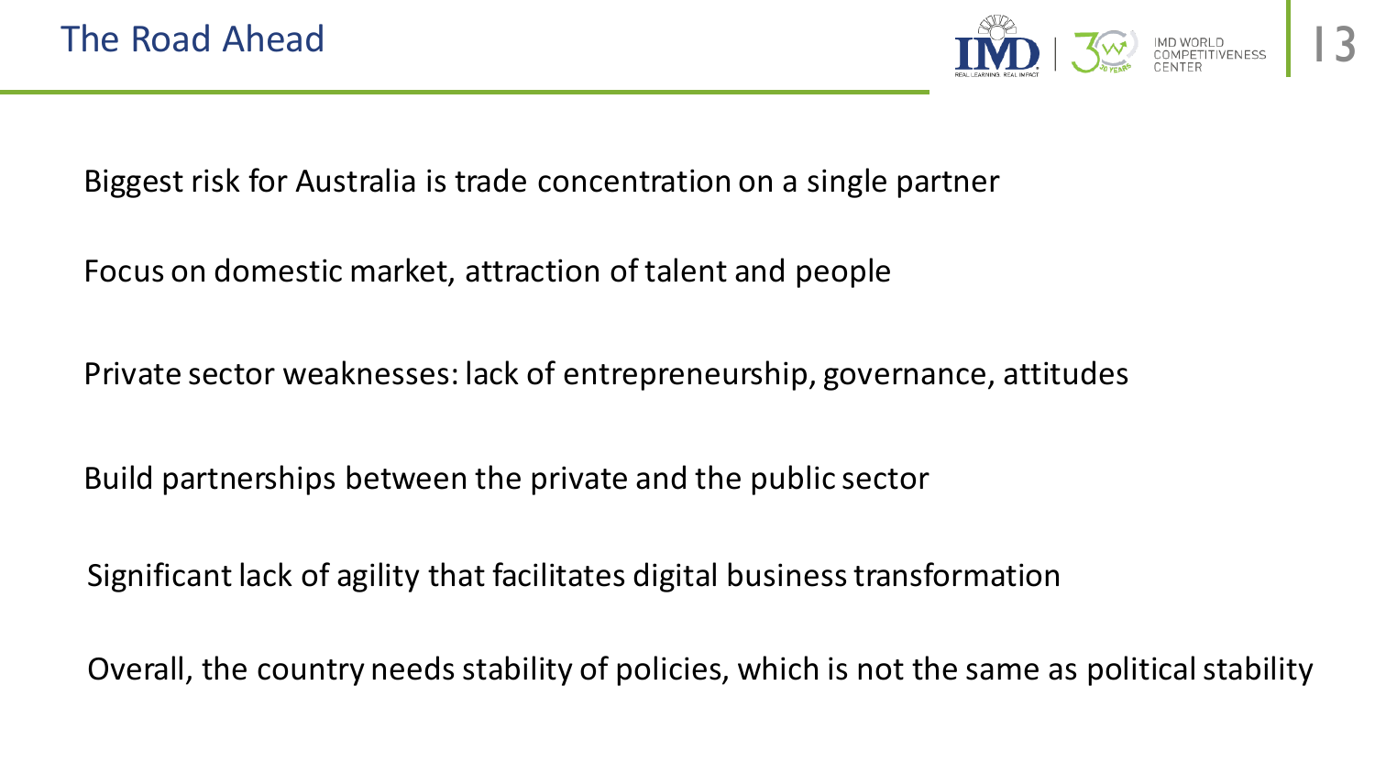

Biggest risk for Australia is trade concentration on a single partner

Focus on domestic market, attraction of talent and people

Private sector weaknesses: lack of entrepreneurship, governance, attitudes

Build partnerships between the private and the public sector

Significant lack of agility that facilitates digital business transformation

Overall, the country needs stability of policies, which is not the same as political stability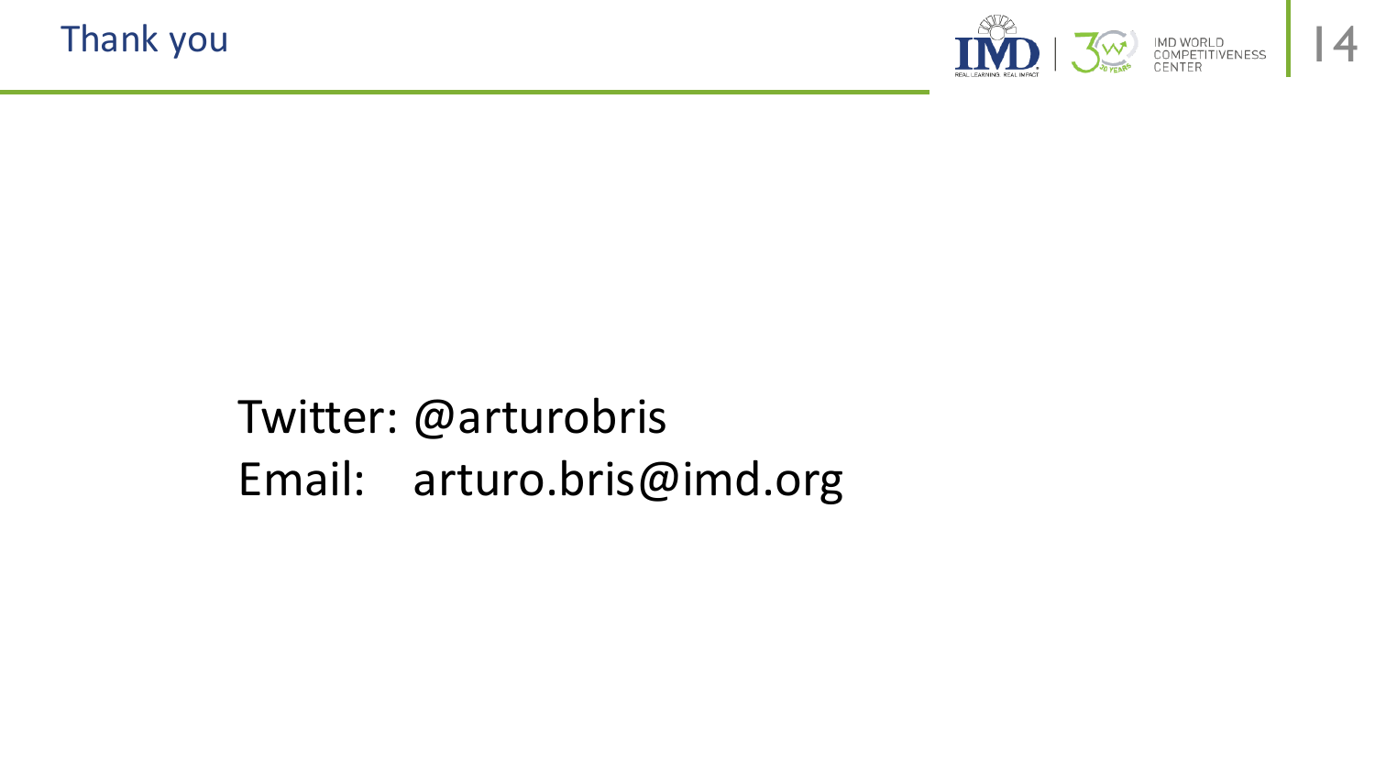

# Twitter: @arturobris Email: arturo.bris@imd.org